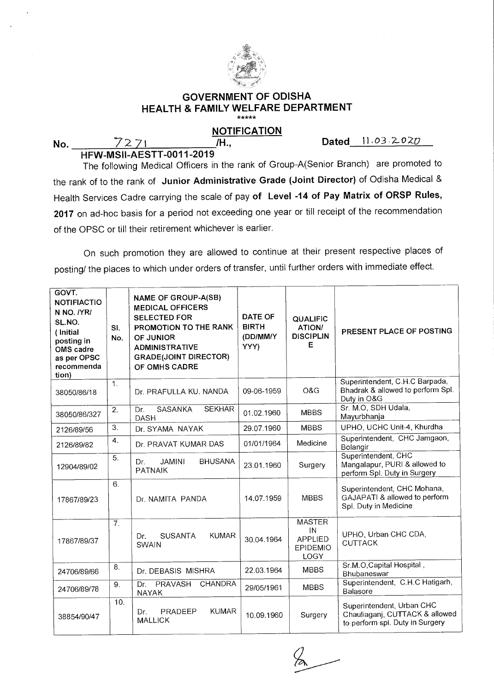

## **GOVERNMENT OF ODISHA HEALTH & FAMILY WELFARE DEPARTMENT**  \*\*\*\*\*

## **NOTIFICATION**

**No.** 7271 *IH.,* **Dated** 11.03.2020

HFW-MS1I-AESTT-0011-2019

The following Medical Officers in the rank of Group-A(Senior Branch) are promoted to the rank of to the rank of **Junior Administrative Grade (Joint Director)** of Odisha Medical & Health Services Cadre carrying the scale of pay **of Level -14 of Pay Matrix of ORSP Rules, 2017** on ad-hoc basis for a period not exceeding one year or till receipt of the recommendation of the OPSC or till their retirement whichever is earlier.

On such promotion they are allowed to continue at their present respective places of posting/ the places to which under orders of transfer, until further orders with immediate effect.

| GOVT.<br><b>NOTIFIACTIO</b><br>N NO. /YR/<br>SL.NO.<br>(Initial<br>posting in<br>OMS cadre<br>as per OPSC<br>recommenda<br>tion) | SI.<br>No.     | NAME OF GROUP-A(SB)<br><b>MEDICAL OFFICERS</b><br><b>SELECTED FOR</b><br>PROMOTION TO THE RANK<br>OF JUNIOR<br><b>ADMINISTRATIVE</b><br><b>GRADE(JOINT DIRECTOR)</b><br>OF OMHS CADRE | DATE OF<br><b>BIRTH</b><br>(DD/MM/Y<br>YYY) | QUALIFIC<br><b>ATION/</b><br><b>DISCIPLIN</b><br>Е               | PRESENT PLACE OF POSTING                                                                       |
|----------------------------------------------------------------------------------------------------------------------------------|----------------|---------------------------------------------------------------------------------------------------------------------------------------------------------------------------------------|---------------------------------------------|------------------------------------------------------------------|------------------------------------------------------------------------------------------------|
| 38050/86/18                                                                                                                      | $\mathbf{1}$ . | Dr. PRAFULLA KU. NANDA                                                                                                                                                                | 09-06-1959                                  | O&G                                                              | Superintendent, C.H.C Barpada,<br>Bhadrak & allowed to perform Spl.<br>Duty in O&G             |
| 38050/86/327                                                                                                                     | 2.             | <b>SEKHAR</b><br>SASANKA<br>Dr.<br><b>DASH</b>                                                                                                                                        | 01.02.1960                                  | <b>MBBS</b>                                                      | Sr. M.O, SDH Udala,<br>Mayurbhanja                                                             |
| 2126/89/56                                                                                                                       | 3.             | Dr. SYAMA NAYAK                                                                                                                                                                       | 29.07.1960                                  | <b>MBBS</b>                                                      | UPHO, UCHC Unit-4, Khurdha                                                                     |
| 2126/89/82                                                                                                                       | 4.             | Dr. PRAVAT KUMAR DAS                                                                                                                                                                  | 01/01/1964                                  | Medicine                                                         | Superintendent, CHC Jamgaon,<br>Bolangir                                                       |
| 12904/89/02                                                                                                                      | 5.             | <b>JAMINI</b><br><b>BHUSANA</b><br>Dr.<br><b>PATNAIK</b>                                                                                                                              | 23.01.1960                                  | Surgery                                                          | Superintendent, CHC<br>Mangalapur, PURI & allowed to<br>perform Spl. Duty in Surgery           |
| 17867/89/23                                                                                                                      | 6.             | Dr. NAMITA PANDA                                                                                                                                                                      | 14.07.1959                                  | <b>MBBS</b>                                                      | Superintendent, CHC Mohana,<br>GAJAPATI & allowed to perform<br>Spl. Duty in Medicine          |
| 17867/89/37                                                                                                                      | 7.             | <b>SUSANTA</b><br><b>KUMAR</b><br>Dr.<br><b>SWAIN</b>                                                                                                                                 | 30.04.1964                                  | <b>MASTER</b><br>IN<br><b>APPLIED</b><br>EPIDEMIO<br><b>LOGY</b> | UPHO, Urban CHC CDA,<br><b>CUTTACK</b>                                                         |
| 24706/89/66                                                                                                                      | 8.             | Dr. DEBASIS MISHRA                                                                                                                                                                    | 22.03.1964                                  | <b>MBBS</b>                                                      | Sr.M.O,Capital Hospital,<br>Bhubaneswar                                                        |
| 24706/89/78                                                                                                                      | 9.             | PRAVASH<br><b>CHANDRA</b><br>Dr.<br><b>NAYAK</b>                                                                                                                                      | 29/05/1961                                  | <b>MBBS</b>                                                      | Superintendent, C.H.C Hatigarh,<br>Balasore                                                    |
| 38854/90/47                                                                                                                      | 10.            | <b>KUMAR</b><br>PRADEEP<br>Dr.<br><b>MALLICK</b>                                                                                                                                      | 10.09.1960                                  | Surgery                                                          | Superintendent, Urban CHC<br>Chauliagani, CUTTACK & allowed<br>to perform spl. Duty in Surgery |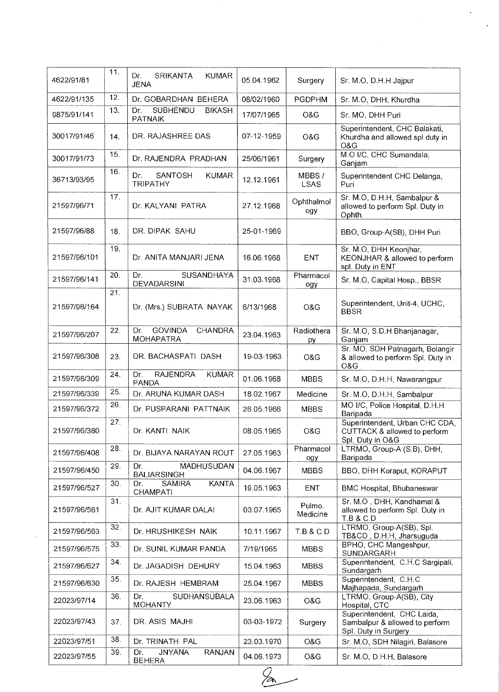| 4622/91/81   | 11. | Dr.<br><b>SRIKANTA</b><br><b>KUMAR</b><br><b>JENA</b>     | 05.04.1962 | Surgery              | Sr. M.O, D.H.H Jajpur                                                                 |
|--------------|-----|-----------------------------------------------------------|------------|----------------------|---------------------------------------------------------------------------------------|
| 4622/91/135  | 12. | Dr. GOBARDHAN BEHERA                                      | 08/02/1960 | <b>PGDPHM</b>        | Sr. M.O, DHH, Khurdha                                                                 |
| 9875/91/141  | 13. | <b>SUBHENDU</b><br><b>BIKASH</b><br>Dr.<br><b>PATNAIK</b> | 17/07/1965 | O&G                  | Sr. MO, DHH Puri                                                                      |
| 30017/91/46  | 14. | DR. RAJASHREE DAS                                         | 07-12-1959 | O&G                  | Superintendent, CHC Balakati,<br>Khurdha and allowed spl duty in<br>O&G               |
| 30017/91/73  | 15. | Dr. RAJENDRA PRADHAN                                      | 25/06/1961 | Surgery              | M.O I/C, CHC Sumandala,<br>Ganjam                                                     |
| 36713/93/95  | 16. | SANTOSH<br>Dr.<br><b>KUMAR</b><br><b>TRIPATHY</b>         | 12.12.1961 | MBBS/<br><b>LSAS</b> | Superintendent CHC Delanga,<br>Puri                                                   |
| 21597/96/71  | 17. | Dr. KALYANI PATRA                                         | 27.12.1968 | Ophthalmol<br>ogy    | Sr. M.O, D.H.H, Sambalpur &<br>allowed to perform Spl. Duty in<br>Ophth.              |
| 21597/96/88  | 18. | DR. DIPAK SAHU                                            | 25-01-1969 |                      | BBO, Group-A(SB), DHH Puri                                                            |
| 21597/96/101 | 19. | Dr. ANITA MANJARI JENA                                    | 16.06.1968 | <b>ENT</b>           | Sr. M.O, DHH Keonjhar,<br>KEONJHAR & allowed to perform<br>spl. Duty in ENT           |
| 21597/96/141 | 20. | SUSANDHAYA<br>Dr.<br>DEVADARSINI                          | 31.03.1968 | Pharmacol<br>ogy     | Sr. M.O, Capital Hosp., BBSR                                                          |
| 21597/96/164 | 21. | Dr. (Mrs.) SUBRATA NAYAK                                  | 6/13/1968  | O&G                  | Superintendent, Unit-4, UCHC,<br><b>BBSR</b>                                          |
| 21597/96/207 | 22. | <b>GOVINDA</b><br>Dr.<br>CHANDRA<br><b>MOHAPATRA</b>      | 23.04.1963 | Radiothera<br>py     | Sr. M.O, S.D.H Bhanjanagar,<br>Ganjam                                                 |
| 21597/96/308 | 23. | DR. BACHASPATI DASH                                       | 19-03-1963 | O&G                  | Sr. MO, SDH Patnagarh, Bolangir<br>& allowed to perform Spl. Duty in<br>O&G           |
| 21597/96/309 | 24. | <b>RAJENDRA</b><br><b>KUMAR</b><br>Dr.<br><b>PANDA</b>    | 01.06.1968 | <b>MBBS</b>          | Sr. M.O, D.H.H, Nawarangpur                                                           |
| 21597/96/339 | 25. | Dr. ARUNA KUMAR DASH                                      | 18.02.1967 | Medicine             | Sr. M.O, D.H.H, Sambalpur                                                             |
| 21597/96/372 | 26. | Dr. PUSPARANI PATTNAIK                                    | 26.05.1966 | <b>MBBS</b>          | MO I/C, Police Hospital, D.H.H<br>Baripada                                            |
| 21597/96/380 | 27. | Dr. KANTI NAIK                                            | 08.05.1965 | O&G                  | Superintendent, Urban CHC CDA,<br>CUTTACK & allowed to perform<br>Spl. Duty in O&G    |
| 21597/96/408 | 28. | Dr. BIJAYA NARAYAN ROUT                                   | 27.05.1963 | Pharmacol<br>ogy     | LTRMO, Group-A (S.B), DHH,<br>Baripada                                                |
| 21597/96/450 | 29. | Dr.<br>MADHUSUDAN<br><b>BALIARSINGH</b>                   | 04.06.1967 | <b>MBBS</b>          | BBO, DHH Koraput, KORAPUT                                                             |
| 21597/96/527 | 30. | <b>KANTA</b><br>Dr.<br><b>SAMIRA</b><br>CHAMPATI          | 19.05.1963 | <b>ENT</b>           | BMC Hospital, Bhubaneswar                                                             |
| 21597/96/561 | 31. | Dr. AJIT KUMAR DALAI                                      | 03.07.1965 | Pulmo.<br>Medicine   | Sr. M.O., DHH, Kandhamal &<br>allowed to perform Spl. Duty in<br><b>T.B &amp; C.D</b> |
| 21597/96/563 | 32. | Dr. HRUSHIKESH NAIK                                       | 10.11.1967 | <b>T.B &amp; C.D</b> | LTRMO, Group-A(SB), Spl.<br>TB&CD, D.H.H, Jharsuguda                                  |
| 21597/96/575 | 33. | Dr. SUNIL KUMAR PANDA                                     | 7/19/1965  | <b>MBBS</b>          | BPHO, CHC Mangeshpur,<br>SUNDARGARH                                                   |
| 21597/96/627 | 34. | Dr. JAGADISH DEHURY                                       | 15.04.1963 | <b>MBBS</b>          | Superintendent, C.H.C Sargipali,<br>Sundargarh                                        |
| 21597/96/630 | 35. | Dr. RAJESH HEMBRAM                                        | 25.04.1967 | <b>MBBS</b>          | Superintendent, C.H.C.<br>Majhapada, Sundargarh                                       |
| 22023/97/14  | 36. | Dr.<br>SUDHANSUBALA<br><b>MOHANTY</b>                     | 23.06.1963 | O&G                  | LTRMO, Group-A(SB), City<br>Hospital, CTC                                             |
| 22023/97/43  | 37. | DR. ASIS MAJHI                                            | 03-03-1972 | Surgery              | Superintendent, CHC Laida,<br>Sambalpur & allowed to perform<br>Spl. Duty in Surgery  |
| 22023/97/51  | 38. | Dr. TRINATH PAL                                           | 23.03.1970 | O&G                  | Sr. M.O, SDH Nilagiri, Balasore                                                       |
| 22023/97/55  | 39. | <b>JNYANA</b><br>Dr.<br>RANJAN<br><b>BEHERA</b>           | 04.06.1973 | O&G                  | Sr. M.O, D.H.H, Balasore                                                              |
|              |     |                                                           |            |                      |                                                                                       |

 $\mathcal{L}_{\mathcal{A}}$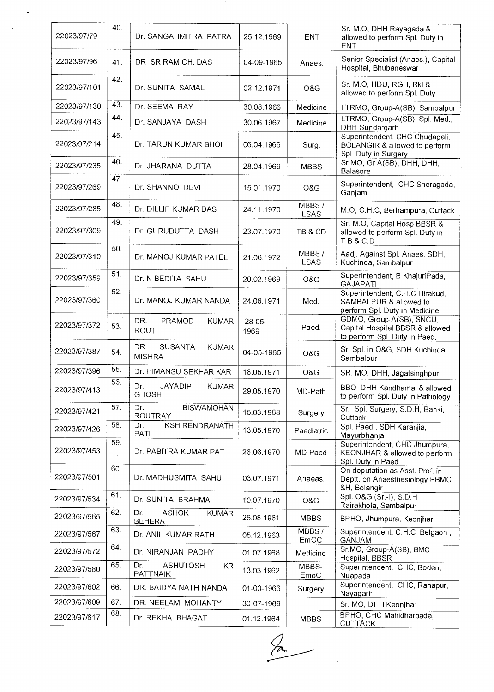| 22023/97/79  | 40. | Dr. SANGAHMITRA PATRA                                  | 25.12.1969       | <b>ENT</b>           | Sr. M.O, DHH Rayagada &<br>allowed to perform Spl. Duty in<br><b>ENT</b>                     |
|--------------|-----|--------------------------------------------------------|------------------|----------------------|----------------------------------------------------------------------------------------------|
| 22023/97/96  | 41. | DR. SRIRAM CH. DAS                                     | 04-09-1965       | Anaes.               | Senior Specialist (Anaes.), Capital<br>Hospital, Bhubaneswar                                 |
| 22023/97/101 | 42. | Dr. SUNITA SAMAL                                       | 02.12.1971       | O&G                  | Sr. M.O, HDU, RGH, RkI &<br>allowed to perform Spl. Duty                                     |
| 22023/97/130 | 43. | Dr. SEEMA RAY                                          | 30.08.1966       | Medicine             | LTRMO, Group-A(SB), Sambalpur                                                                |
| 22023/97/143 | 44. | Dr. SANJAYA DASH                                       | 30.06.1967       | Medicine             | LTRMO, Group-A(SB), Spl. Med.,<br>DHH Sundargarh                                             |
| 22023/97/214 | 45. | Dr. TARUN KUMAR BHOI                                   | 06.04.1966       | Surg.                | Superintendent, CHC Chudapali,<br>BOLANGIR & allowed to perform<br>Spl. Duty in Surgery      |
| 22023/97/235 | 46. | Dr. JHARANA DUTTA                                      | 28.04.1969       | <b>MBBS</b>          | Sr.MO, Gr.A(SB), DHH, DHH,<br>Balasore                                                       |
| 22023/97/269 | 47. | Dr. SHANNO DEVI                                        | 15.01.1970       | O&G                  | Superintendent, CHC Sheragada,<br>Ganjam                                                     |
| 22023/97/285 | 48. | Dr. DILLIP KUMAR DAS                                   | 24.11.1970       | MBBS/<br><b>LSAS</b> | M.O, C.H.C, Berhampura, Cuttack                                                              |
| 22023/97/309 | 49. | Dr. GURUDUTTA DASH                                     | 23.07.1970       | TB & CD              | Sr. M.O, Capital Hosp BBSR &<br>allowed to perform Spl. Duty in<br>T.B & C.D                 |
| 22023/97/310 | 50. | Dr. MANOJ KUMAR PATEL                                  | 21.06.1972       | MBBS/<br><b>LSAS</b> | Aadj. Against Spl. Anaes. SDH,<br>Kuchinda, Sambalpur                                        |
| 22023/97/359 | 51. | Dr. NIBEDITA SAHU                                      | 20.02.1969       | O&G                  | Superintendent, B KhajuriPada,<br><b>GAJAPATI</b>                                            |
| 22023/97/360 | 52. | Dr. MANOJ KUMAR NANDA                                  | 24.06.1971       | Med.                 | Superintendent, C.H.C Hirakud,<br>SAMBALPUR & allowed to<br>perform Spl. Duty in Medicine    |
| 22023/97/372 | 53. | DR.<br><b>PRAMOD</b><br><b>KUMAR</b><br><b>ROUT</b>    | $28-05-$<br>1969 | Paed.                | GDMO, Group-A(SB), SNCU,<br>Capital Hospital BBSR & allowed<br>to perform Spl. Duty in Paed. |
| 22023/97/387 | 54. | DR.<br><b>SUSANTA</b><br><b>KUMAR</b><br><b>MISHRA</b> | 04-05-1965       | O&G                  | Sr. Spl. in O&G, SDH Kuchinda,<br>Sambalpur                                                  |
| 22023/97/396 | 55. | Dr. HIMANSU SEKHAR KAR                                 | 18.05.1971       | O&G                  | SR. MO, DHH, Jagatsinghpur                                                                   |
| 22023/97/413 | 56. | <b>JAYADIP</b><br><b>KUMAR</b><br>Dr.<br><b>GHOSH</b>  | 29.05.1970       | MD-Path              | BBO, DHH Kandhamal & allowed<br>to perform Spl. Duty in Pathology                            |
| 22023/97/421 | 57. | Dr.<br><b>BISWAMOHAN</b><br><b>ROUTRAY</b>             | 15.03.1968       | Surgery              | Sr. Spl. Surgery, S.D.H, Banki,<br>Cuttack                                                   |
| 22023/97/426 | 58. | <b>KSHIRENDRANATH</b><br>Dr.<br><b>PATI</b>            | 13.05.1970       | Paediatric           | Spl. Paed., SDH Karanjia,<br>Mayurbhanja                                                     |
| 22023/97/453 | 59. | Dr. PABITRA KUMAR PATI                                 | 26.06.1970       | MD-Paed              | Superintendent, CHC Jhumpura,<br>KEONJHAR & allowed to perform<br>Spl. Duty in Paed.         |
| 22023/97/501 | 60. | Dr. MADHUSMITA SAHU                                    | 03.07.1971       | Anaeas.              | On deputation as Asst. Prof. in<br>Deptt. on Anaesthesiology BBMC<br>&H, Bolangir            |
| 22023/97/534 | 61. | Dr. SUNITA BRAHMA                                      | 10.07.1970       | O&G                  | Spl. O&G (Sr.-I), S.D.H<br>Rairakhola, Sambalpur                                             |
| 22023/97/565 | 62. | <b>ASHOK</b><br>Dr.<br><b>KUMAR</b><br><b>BEHERA</b>   | 26.08.1961       | <b>MBBS</b>          | BPHO, Jhumpura, Keonjhar                                                                     |
| 22023/97/567 | 63. | Dr. ANIL KUMAR RATH                                    | 05.12.1963       | MBBS/<br>EmOC        | Superintendent, C.H.C Belgaon,<br>GANJAM                                                     |
| 22023/97/572 | 64. | Dr. NIRANJAN PADHY                                     | 01.07.1968       | Medicine             | Sr.MO, Group-A(SB), BMC<br>Hospital, BBSR                                                    |
| 22023/97/580 | 65. | <b>ASHUTOSH</b><br>Dr.<br>KR<br><b>PATTNAIK</b>        | 13.03.1962       | MBBS-<br>EmoC        | Superintendent, CHC, Boden,<br>Nuapada                                                       |
| 22023/97/602 | 66. | DR. BAIDYA NATH NANDA                                  | 01-03-1966       | Surgery              | Superintendent, CHC, Ranapur,<br>Nayagarh                                                    |
| 22023/97/609 | 67. | DR. NEELAM MOHANTY                                     | 30-07-1969       |                      | Sr. MO, DHH Keonihar                                                                         |
| 22023/97/617 | 68. | Dr. REKHA BHAGAT                                       | 01.12.1964       | <b>MBBS</b>          | BPHO, CHC Mahidharpada,<br><b>CUTTACK</b>                                                    |

 $\frac{1}{2}$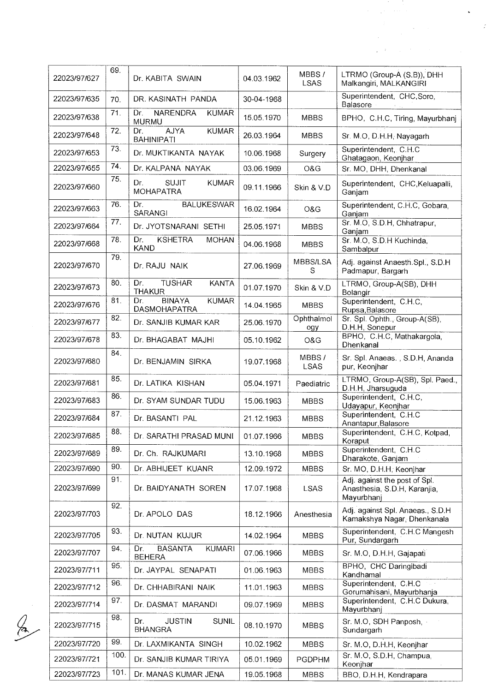| 22023/97/627 | 69.  | Dr. KABITA SWAIN                                            | 04.03.1962 | MBBS/<br><b>LSAS</b> | LTRMO (Group-A (S.B)), DHH<br>Malkangiri, MALKANGIRI                                                                  |
|--------------|------|-------------------------------------------------------------|------------|----------------------|-----------------------------------------------------------------------------------------------------------------------|
| 22023/97/635 | 70.  | DR. KASINATH PANDA                                          | 30-04-1968 |                      | Superintendent, CHC, Soro,<br>Balasore<br>$\mathcal{L} = \mathcal{L} \left( \mathcal{L}_{\mathbf{X}} \right)$ , where |
| 22023/97/638 | 71.  | <b>NARENDRA</b><br>Dr.<br><b>KUMAR</b><br><b>MURMU</b>      | 15.05.1970 | <b>MBBS</b>          | BPHO, C.H.C, Tiring, Mayurbhanj                                                                                       |
| 22023/97/648 | 72.  | <b>AJYA</b><br><b>KUMAR</b><br>Dr.<br><b>BAHINIPATI</b>     | 26.03.1964 | <b>MBBS</b>          | Sr. M.O, D.H.H, Nayagarh                                                                                              |
| 22023/97/653 | 73   | Dr. MUKTIKANTA NAYAK                                        | 10.06.1968 | Surgery              | Superintendent, C.H.C<br>Ghatagaon, Keonjhar                                                                          |
| 22023/97/655 | 74.  | Dr. KALPANA NAYAK                                           | 03.06.1969 | O&G                  | Sr. MO, DHH, Dhenkanal                                                                                                |
| 22023/97/660 | 75.  | <b>SUJIT</b><br>Dr.<br><b>KUMAR</b><br><b>MOHAPATRA</b>     | 09.11.1966 | Skin & V.D           | Superintendent, CHC, Keluapalli,<br>Ganjam                                                                            |
| 22023/97/663 | 76.  | <b>BALUKESWAR</b><br>Dr.<br>SARANGI                         | 16.02.1964 | O&G                  | Superintendent, C.H.C, Gobara,<br>Ganjam                                                                              |
| 22023/97/664 | 77.  | Dr. JYOTSNARANI SETHI                                       | 25.05.1971 | <b>MBBS</b>          | Sr. M.O. S.D.H. Chhatrapur,<br>Ganjam                                                                                 |
| 22023/97/668 | 78.  | <b>KSHETRA</b><br>Dr.<br><b>MOHAN</b><br><b>KAND</b>        | 04.06.1968 | <b>MBBS</b>          | Sr. M.O, S.D.H Kuchinda,<br>Sambalpur                                                                                 |
| 22023/97/670 | 79.  | Dr. RAJU NAIK                                               | 27.06.1969 | MBBS/LSA<br>S        | Adj. against Anaesth.Spl., S.D.H.<br>Padmapur, Bargarh                                                                |
| 22023/97/673 | 80.  | Dr.<br><b>TUSHAR</b><br><b>KANTA</b><br><b>THAKUR</b>       | 01.07.1970 | Skin & V.D           | LTRMO, Group-A(SB), DHH<br>Bolangir                                                                                   |
| 22023/97/676 | 81.  | <b>BINAYA</b><br><b>KUMAR</b><br>Dr.<br><b>DASMOHAPATRA</b> | 14.04.1965 | <b>MBBS</b>          | Superintendent, C.H.C.<br>Rupsa, Balasore                                                                             |
| 22023/97/677 | 82.  | Dr. SANJIB KUMAR KAR                                        | 25.06.1970 | Ophthalmol<br>ogy    | Sr. Spl. Ophth., Group-A(SB),<br>D.H.H, Sonepur                                                                       |
| 22023/97/678 | 83.  | Dr. BHAGABAT MAJHI                                          | 05.10.1962 | O&G                  | BPHO, C.H.C, Mathakargola,<br>Dhenkanal                                                                               |
| 22023/97/680 | 84.  | Dr. BENJAMIN SIRKA                                          | 19.07.1968 | MBBS/<br><b>LSAS</b> | Sr. Spl. Anaeas., S.D.H, Ananda<br>pur, Keonjhar                                                                      |
| 22023/97/681 | 85.  | Dr. LATIKA KISHAN                                           | 05.04.1971 | Paediatric           | LTRMO, Group-A(SB), Spl. Paed.,<br>D.H.H, Jharsuguda                                                                  |
| 22023/97/683 | 86.  | Dr. SYAM SUNDAR TUDU                                        | 15.06.1963 | <b>MBBS</b>          | Superintendent, C.H.C.<br>Udayapur, Keonjhar                                                                          |
| 22023/97/684 | 87.  | Dr. BASANTI PAL                                             | 21.12.1963 | <b>MBBS</b>          | Superintendent, C.H.C<br>Anantapur, Balasore                                                                          |
| 22023/97/685 | 88.  | Dr. SARATHI PRASAD MUNI                                     | 01.07.1966 | <b>MBBS</b>          | Superintendent, C.H.C. Kotpad,<br>Koraput                                                                             |
| 22023/97/689 | 89.  | Dr. Ch. RAJKUMARI                                           | 13.10.1968 | <b>MBBS</b>          | Superintendent, C.H.C<br>Dharakote, Ganjam                                                                            |
| 22023/97/690 | 90.  | Dr. ABHIJEET KUANR                                          | 12.09.1972 | <b>MBBS</b>          | Sr. MO, D.H.H. Keonjhar                                                                                               |
| 22023/97/699 | 91.  | Dr. BAIDYANATH SOREN                                        | 17.07.1968 | <b>LSAS</b>          | Adj. against the post of Spl.<br>Anasthesia, S.D.H. Karanjia,<br>Mayurbhanj                                           |
| 22023/97/703 | 92.  | Dr. APOLO DAS                                               | 18.12.1966 | Anesthesia           | Adj. against Spl. Anaeas., S.D.H.<br>Kamakshya Nagar, Dhenkanala                                                      |
| 22023/97/705 | 93.  | Dr. NUTAN KUJUR                                             | 14.02.1964 | <b>MBBS</b>          | Superintendent, C.H.C Mangesh<br>Pur, Sundargarh                                                                      |
| 22023/97/707 | 94.  | <b>BASANTA</b><br><b>KUMARI</b><br>Dr.<br><b>BEHERA</b>     | 07.06.1966 | <b>MBBS</b>          | Sr. M.O, D.H.H, Gajapati                                                                                              |
| 22023/97/711 | 95.  | Dr. JAYPAL SENAPATI                                         | 01.06.1963 | <b>MBBS</b>          | BPHO, CHC Daringibadi<br>Kandhamal                                                                                    |
| 22023/97/712 | 96.  | Dr. CHHABIRANI NAIK                                         | 11.01.1963 | <b>MBBS</b>          | Superintendent, C.H.C.<br>Gorumahisani, Mayurbhanja                                                                   |
| 22023/97/714 | 97.  | Dr. DASMAT MARANDI                                          | 09.07.1969 | <b>MBBS</b>          | Superintendent, C.H.C Dukura,<br>Mayurbhanj                                                                           |
| 22023/97/715 | 98.  | <b>JUSTIN</b><br><b>SUNIL</b><br>Dr.<br><b>BHANGRA</b>      | 08.10.1970 | <b>MBBS</b>          | Sr. M.O, SDH Panposh,<br>Sundargarh                                                                                   |
| 22023/97/720 | 99.  | Dr. LAXMIKANTA SINGH                                        | 10.02.1962 | <b>MBBS</b>          | Sr. M.O, D.H.H, Keonjhar                                                                                              |
| 22023/97/721 | 100. | Dr. SANJIB KUMAR TIRIYA                                     | 05.01.1969 | <b>PGDPHM</b>        | Sr. M.O, S.D.H, Champua,<br>Keonjhar                                                                                  |
| 22023/97/723 | 101. | Dr. MANAS KUMAR JENA                                        | 19.05.1968 | <b>MBBS</b>          | BBO, D.H.H, Kendrapara                                                                                                |

 $\int_{\mathbb{R}}$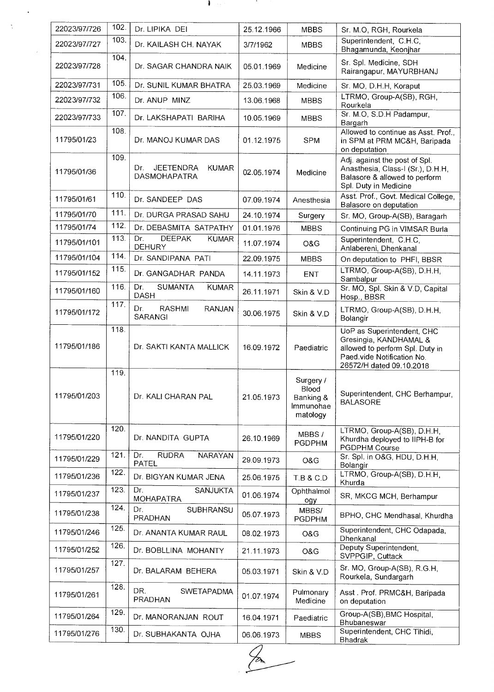| 22023/97/726 | 102.         | Dr. LIPIKA DEI                                                 | 25.12.1966 | <b>MBBS</b>                                              | Sr. M.O, RGH, Rourkela                                                                                                                            |  |
|--------------|--------------|----------------------------------------------------------------|------------|----------------------------------------------------------|---------------------------------------------------------------------------------------------------------------------------------------------------|--|
| 22023/97/727 | 103.         | Dr. KAILASH CH. NAYAK                                          | 3/7/1962   | <b>MBBS</b>                                              | Superintendent, C.H.C.<br>Bhagamunda, Keonjhar                                                                                                    |  |
| 22023/97/728 | 104.         | Dr. SAGAR CHANDRA NAIK                                         | 05.01.1969 | Medicine                                                 | Sr. Spl. Medicine, SDH<br>Rairangapur, MAYURBHANJ                                                                                                 |  |
| 22023/97/731 | 105.         | Dr. SUNIL KUMAR BHATRA                                         | 25.03.1969 | Medicine                                                 | Sr. MO, D.H.H, Koraput                                                                                                                            |  |
| 22023/97/732 | 106.         | Dr. ANUP MINZ                                                  | 13.06.1968 | <b>MBBS</b>                                              | LTRMO, Group-A(SB), RGH,<br>Rourkela                                                                                                              |  |
| 22023/97/733 | 107.         | Dr. LAKSHAPATI BARIHA                                          | 10.05.1969 | <b>MBBS</b>                                              | Sr. M.O, S.D.H Padampur,<br>Bargarh                                                                                                               |  |
| 11795/01/23  | 108.         | Dr. MANOJ KUMAR DAS                                            | 01.12.1975 | <b>SPM</b>                                               | Allowed to continue as Asst. Prof.,<br>in SPM at PRM MC&H, Baripada<br>on deputation                                                              |  |
| 11795/01/36  | 109.         | <b>JEETENDRA</b><br>Dr.<br><b>KUMAR</b><br><b>DASMOHAPATRA</b> | 02.05.1974 | Medicine                                                 | Adj. against the post of Spl.<br>Anasthesia, Class-I (Sr.), D.H.H,<br>Balasore & allowed to perform<br>Spl. Duty in Medicine                      |  |
| 11795/01/61  | 110.         | Dr. SANDEEP DAS                                                | 07.09.1974 | Anesthesia                                               | Asst. Prof., Govt. Medical College,<br>Balasore on deputation                                                                                     |  |
| 11795/01/70  | 111.         | Dr. DURGA PRASAD SAHU                                          | 24.10.1974 | Surgery                                                  | Sr. MO, Group-A(SB), Baragarh                                                                                                                     |  |
| 11795/01/74  | 112.<br>113. | Dr. DEBASMITA SATPATHY<br><b>DEEPAK</b><br>Dr.                 | 01.01.1976 | <b>MBBS</b>                                              | Continuing PG in VIMSAR Burla                                                                                                                     |  |
| 11795/01/101 |              | <b>KUMAR</b><br>DEHURY                                         | 11.07.1974 | O&G                                                      | Superintendent, C.H.C.<br>Anlabereni, Dhenkanal                                                                                                   |  |
| 11795/01/104 | 114.         | Dr. SANDIPANA PATI                                             | 22.09.1975 | <b>MBBS</b>                                              | On deputation to PHFI, BBSR                                                                                                                       |  |
| 11795/01/152 | 115.         | Dr. GANGADHAR PANDA                                            | 14.11.1973 | <b>ENT</b>                                               | LTRMO, Group-A(SB), D.H.H.<br>Sambalpur                                                                                                           |  |
| 11795/01/160 | 116.         | <b>SUMANTA</b><br>Dr.<br><b>KUMAR</b><br><b>DASH</b>           | 26.11.1971 | Skin & V.D                                               | Sr. MO, Spl. Skin & V.D, Capital<br>Hosp., BBSR                                                                                                   |  |
| 11795/01/172 | 117.         | RASHMI<br>Dr.<br>RANJAN<br>SARANGI                             | 30.06.1975 | Skin & V.D                                               | LTRMO, Group-A(SB), D.H.H.<br>Bolangir                                                                                                            |  |
| 11795/01/186 | 118.         | Dr. SAKTI KANTA MALLICK                                        | 16.09.1972 | Paediatric                                               | UoP as Superintendent, CHC<br>Gresingia, KANDHAMAL &<br>allowed to perform Spl. Duty in<br>Paed vide Notification No.<br>26572/H dated 09.10.2018 |  |
| 11795/01/203 | 119.         | Dr. KALI CHARAN PAL                                            | 21.05.1973 | Surgery /<br>Blood<br>Banking &<br>Immunohae<br>matology | Superintendent, CHC Berhampur,<br><b>BALASORE</b>                                                                                                 |  |
| 11795/01/220 | 120.         | Dr. NANDITA GUPTA                                              | 26.10.1969 | MBBS/<br><b>PGDPHM</b>                                   | LTRMO, Group-A(SB), D.H.H.<br>Khurdha deployed to IIPH-B for<br>PGDPHM Course                                                                     |  |
| 11795/01/229 | 121.         | <b>RUDRA</b><br>Dr.<br>NARAYAN<br><b>PATEL</b>                 | 29.09.1973 | O&G                                                      | Sr. Spl. in O&G, HDU, D.H.H.<br>Bolangir                                                                                                          |  |
| 11795/01/236 | 122.         | Dr. BIGYAN KUMAR JENA                                          | 25.06.1975 | <b>T.B &amp; C.D</b>                                     | LTRMO, Group-A(SB), D.H.H.<br>Khurda                                                                                                              |  |
| 11795/01/237 | 123.         | Dr.<br>SANJUKTA<br><b>MOHAPATRA</b>                            | 01.06.1974 | Ophthalmol<br>ogy                                        | SR, MKCG MCH, Berhampur                                                                                                                           |  |
| 11795/01/238 | 124.         | Dr.<br>SUBHRANSU<br>PRADHAN                                    | 05.07.1973 | MBBS/<br><b>PGDPHM</b>                                   | BPHO, CHC Mendhasal, Khurdha                                                                                                                      |  |
| 11795/01/246 | 125.         | Dr. ANANTA KUMAR RAUL                                          | 08.02.1973 | O&G                                                      | Superintendent, CHC Odapada,<br>Dhenkanal                                                                                                         |  |
| 11795/01/252 | 126.         | Dr. BOBLLINA MOHANTY                                           | 21.11.1973 | O&G                                                      | Deputy Superintendent,<br>SVPPGIP, Cuttack                                                                                                        |  |
| 11795/01/257 | 127.         | Dr. BALARAM BEHERA                                             | 05.03.1971 | Skin & V.D                                               | Sr. MO, Group-A(SB), R.G.H,<br>Rourkela, Sundargarh                                                                                               |  |
| 11795/01/261 | 128.         | DR.<br><b>SWETAPADMA</b><br><b>PRADHAN</b>                     | 01.07.1974 | Pulmonary<br>Medicine                                    | Asst. Prof. PRMC&H, Baripada<br>on deputation                                                                                                     |  |
| 11795/01/264 | 129.         | Dr. MANORANJAN ROUT                                            | 16.04.1971 | Paediatric                                               | Group-A(SB), BMC Hospital,<br>Bhubaneswar                                                                                                         |  |
| 11795/01/276 | 130.         | Dr. SUBHAKANTA OJHA                                            | 06.06.1973 | <b>MBBS</b>                                              | Superintendent, CHC Tihidi,<br><b>Bhadrak</b>                                                                                                     |  |

 $\mathbf{A}$  and  $\mathbf{A}$  are all  $\mathbf{A}$  and  $\mathbf{A}$ 

 $\ddot{\phantom{0}}$ 

 $\frac{1}{2}$ 

 $\overline{\mathscr{L}}$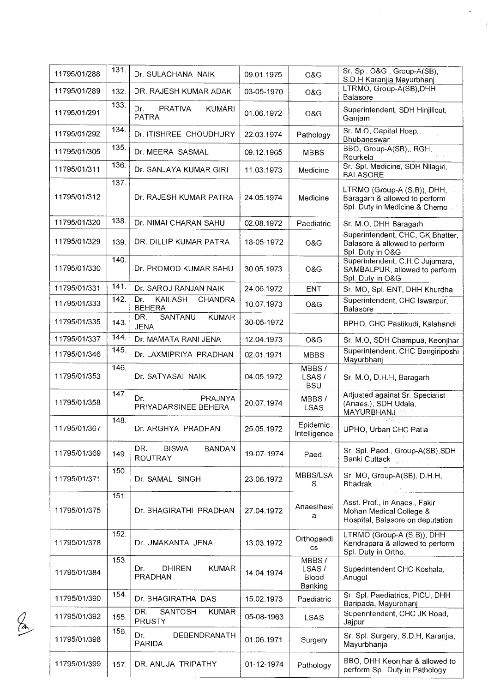| 11795/01/288 | 131. | Dr. SULACHANA NAIK                                       | 09.01.1975 | O&G                                | Sr. Spl. O&G, Group-A(SB),                                                                    |
|--------------|------|----------------------------------------------------------|------------|------------------------------------|-----------------------------------------------------------------------------------------------|
|              |      |                                                          |            |                                    | S.D.H Karanjia Mayurbhanj<br>LTRMO, Group-A(SB), DHH                                          |
| 11795/01/289 | 132. | DR. RAJESH KUMAR ADAK                                    | 03-05-1970 | O&G                                | Balasore                                                                                      |
| 11795/01/291 | 133. | Dr.<br><b>PRATIVA</b><br><b>KUMARI</b><br><b>PATRA</b>   | 01.06.1972 | O&G                                | Superintendent, SDH Hinjilicut,<br>Ganjam                                                     |
| 11795/01/292 | 134. | Dr. ITISHREE CHOUDHURY                                   | 22.03.1974 | Pathology                          | Sr. M.O, Capital Hosp.,<br>Bhubaneswar                                                        |
| 11795/01/305 | 135. | Dr. MEERA SASMAL                                         | 09.12.1965 | <b>MBBS</b>                        | BBO, Group-A(SB),, RGH,<br>Rourkela                                                           |
| 11795/01/311 | 136. | Dr. SANJAYA KUMAR GIRI                                   | 11.03.1973 | Medicine                           | Sr. Spl. Medicine, SDH Nilagiri,<br><b>BALASORE</b>                                           |
| 11795/01/312 | 137. | Dr. RAJESH KUMAR PATRA                                   | 24.05.1974 | Medicine                           | LTRMO (Group-A (S.B)), DHH,<br>Baragarh & allowed to perform<br>Spl. Duty in Medicine & Chemo |
| 11795/01/320 | 138. | Dr. NIMAI CHARAN SAHU                                    | 02.08.1972 | Paediatric                         | Sr. M.O. DHH Baragarh                                                                         |
| 11795/01/329 | 139. | DR. DILLIP KUMAR PATRA                                   | 18-05-1972 | O&G                                | Superintendent, CHC, GK Bhatter,<br>Balasore & allowed to perform<br>Spl. Duty in O&G         |
| 11795/01/330 | 140. | Dr. PROMOD KUMAR SAHU                                    | 30.05.1973 | O&G                                | Superintendent, C.H.C Jujumara,<br>SAMBALPUR, allowed to perform<br>Spl. Duty in O&G          |
| 11795/01/331 | 141. | Dr. SAROJ RANJAN NAIK                                    | 24.06.1972 | <b>ENT</b>                         | Sr. MO, Spl. ENT, DHH Khurdha                                                                 |
| 11795/01/333 | 142. | Dr.<br><b>KAILASH</b><br><b>CHANDRA</b><br><b>BEHERA</b> | 10.07.1973 | O&G                                | Superintendent, CHC Iswarpur,<br>Balasore                                                     |
| 11795/01/335 | 143. | <b>SANTANU</b><br>DR.<br><b>KUMAR</b><br><b>JENA</b>     | 30-05-1972 |                                    | BPHO, CHC Pastikudi, Kalahandi                                                                |
| 11795/01/337 | 144. | Dr. MAMATA RANI JENA                                     | 12.04.1973 | O&G                                | Sr. M.O, SDH Champua, Keonjhar                                                                |
| 11795/01/346 | 145. | Dr. LAXMIPRIYA PRADHAN                                   | 02.01.1971 | <b>MBBS</b>                        | Superintendent, CHC Bangiriposhi<br>Mayurbhanj                                                |
| 11795/01/353 | 146. | Dr. SATYASAI NAIK                                        | 04.05.1972 | MBBS/<br>LSAS/<br><b>BSU</b>       | Sr. M.O, D.H.H, Baragarh                                                                      |
| 11795/01/358 | 147. | Dr.<br>PRAJNYA<br>PRIYADARSINEE BEHERA                   | 20.07.1974 | MBBS/<br><b>LSAS</b>               | Adjusted against Sr. Specialist<br>(Anaes.), SDH Udala,<br>MAYURBHANJ                         |
| 11795/01/367 | 148. | Dr. ARGHYA PRADHAN                                       | 25.05.1972 | Epidemic<br>Intelligence           | UPHO, Urban CHC Patia                                                                         |
| 11795/01/369 | 149. | DR.<br><b>BISWA</b><br><b>BANDAN</b><br><b>ROUTRAY</b>   | 19-07-1974 | Paed.                              | Sr. Spl. Paed., Group-A(SB), SDH<br>Banki Cuttack                                             |
| 11795/01/371 | 150. | Dr. SAMAL SINGH                                          | 23.06.1972 | MBBS/LSA<br>S                      | Sr. MO, Group-A(SB), D.H.H.<br>Bhadrak                                                        |
| 11795/01/375 | 151. | Dr. BHAGIRATHI PRADHAN                                   | 27.04.1972 | Anaesthesi<br>a                    | Asst. Prof., in Anaes., Fakir<br>Mohan Medical College &<br>Hospital, Balasore on deputation  |
| 11795/01/378 | 152. | Dr. UMAKANTA JENA                                        | 13.03.1972 | Orthopaedi<br>$\mathsf{cs}$        | LTRMO (Group-A (S.B)), DHH<br>Kendrapara & allowed to perform<br>Spl. Duty in Ortho.          |
| 11795/01/384 | 153. | <b>DHIREN</b><br><b>KUMAR</b><br>Dr.<br><b>PRADHAN</b>   | 14.04.1974 | MBBS/<br>LSAS/<br>Blood<br>Banking | Superintendent CHC Koshala,<br>Anugul                                                         |
| 11795/01/390 | 154. | Dr. BHAGIRATHA DAS                                       | 15.02.1973 | Paediatric                         | Sr. Spl. Paediatrics, PICU, DHH<br>Baripada, Mayurbhanj                                       |
| 11795/01/392 | 155. | DR.<br>SANTOSH<br><b>KUMAR</b><br>PRUSTY                 | 05-08-1963 | <b>LSAS</b>                        | Superintendent, CHC JK Road,<br>Jajpur                                                        |
| 11795/01/398 | 156. | Dr.<br>DEBENDRANATH<br><b>PARIDA</b>                     | 01.06.1971 | Surgery                            | Sr. Spl. Surgery, S.D.H, Karanjia,<br>Mayurbhanja                                             |
| 11795/01/399 | 157. | DR. ANUJA TRIPATHY                                       | 01-12-1974 | Pathology                          | BBO, DHH Keonjhar & allowed to<br>perform Spl. Duty in Pathology                              |

 $\frac{\sqrt{2}}{2}$ 

 $\ddot{\phantom{0}}$ 

 $\hat{\mathcal{I}}$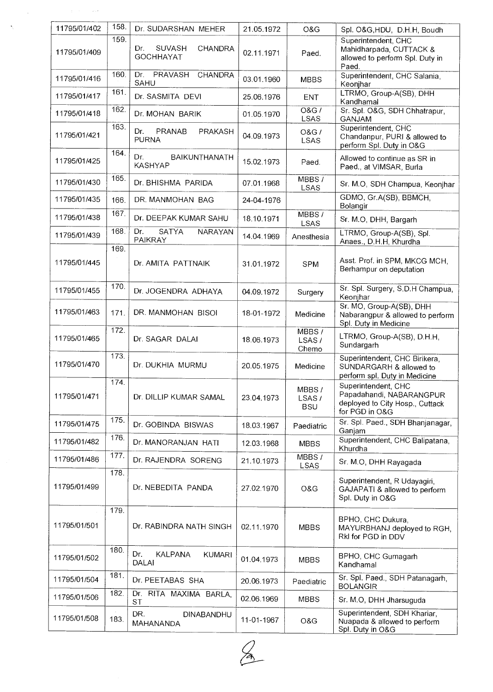| 11795/01/402 | 158. | Dr. SUDARSHAN MEHER                                    | 21.05.1972 | O&G                             | Spl. O&G, HDU, D.H.H, Boudh                                                                          |
|--------------|------|--------------------------------------------------------|------------|---------------------------------|------------------------------------------------------------------------------------------------------|
| 11795/01/409 | 159. | <b>SUVASH</b><br>Dr.<br>CHANDRA<br><b>GOCHHAYAT</b>    | 02.11.1971 | Paed.                           | Superintendent, CHC<br>Mahidharpada, CUTTACK &<br>allowed to perform Spl. Duty in                    |
| 11795/01/416 | 160. | Dr.<br>PRAVASH<br>CHANDRA<br>SAHU                      | 03.01.1960 | <b>MBBS</b>                     | Paed.<br>Superintendent, CHC Salania,<br>Keonjhar                                                    |
| 11795/01/417 | 161. | Dr. SASMITA DEVI                                       | 25.06.1976 | <b>ENT</b>                      | LTRMO, Group-A(SB), DHH<br>Kandhamal                                                                 |
| 11795/01/418 | 162. | Dr. MOHAN BARIK                                        | 01.05.1970 | <b>O&amp;G/</b><br>LSAS         | Sr. Spl. O&G, SDH Chhatrapur,<br><b>GANJAM</b>                                                       |
| 11795/01/421 | 163. | PRANAB<br>Dr.<br>PRAKASH<br><b>PURNA</b>               | 04.09.1973 | <b>O&amp;G</b> /<br><b>LSAS</b> | Superintendent, CHC<br>Chandanpur, PURI & allowed to<br>perform Spl. Duty in O&G                     |
| 11795/01/425 | 164. | Dr.<br>BAIKUNTHANATH<br><b>KASHYAP</b>                 | 15.02.1973 | Paed.                           | Allowed to continue as SR in<br>Paed., at VIMSAR, Burla                                              |
| 11795/01/430 | 165. | Dr. BHISHMA PARIDA                                     | 07.01.1968 | MBBS/<br><b>LSAS</b>            | Sr. M.O, SDH Champua, Keonjhar                                                                       |
| 11795/01/435 | 166. | DR. MANMOHAN BAG                                       | 24-04-1976 |                                 | GDMO, Gr.A(SB), BBMCH,<br>Bolangir                                                                   |
| 11795/01/438 | 167. | Dr. DEEPAK KUMAR SAHU                                  | 18.10.1971 | MBBS/<br><b>LSAS</b>            | Sr. M.O, DHH, Bargarh                                                                                |
| 11795/01/439 | 168. | Dr.<br><b>SATYA</b><br><b>NARAYAN</b><br>PAIKRAY       | 14.04.1969 | Anesthesia                      | LTRMO, Group-A(SB), Spl.<br>Anaes., D.H.H. Khurdha                                                   |
| 11795/01/445 | 169. | Dr. AMITA PATTNAIK                                     | 31.01.1972 | <b>SPM</b>                      | Asst. Prof. in SPM, MKCG MCH,<br>Berhampur on deputation                                             |
| 11795/01/455 | 170. | Dr. JOGENDRA ADHAYA                                    | 04.09.1972 | Surgery                         | Sr. Spl. Surgery, S.D.H Champua,<br>Keonjhar                                                         |
| 11795/01/463 | 171. | DR. MANMOHAN BISOI                                     | 18-01-1972 | Medicine                        | Sr. MO, Group-A(SB), DHH<br>Nabarangpur & allowed to perform<br>Spl. Duty in Medicine                |
| 11795/01/465 | 172. | Dr. SAGAR DALAI                                        | 18.06.1973 | MBBS /<br>LSAS/<br>Chemo        | LTRMO, Group-A(SB), D.H.H,<br>Sundargarh                                                             |
| 11795/01/470 | 173. | Dr. DUKHIA MURMU                                       | 20.05.1975 | Medicine                        | Superintendent, CHC Birikera,<br>SUNDARGARH & allowed to<br>perform spl. Duty in Medicine            |
| 11795/01/471 | 174. | Dr. DILLIP KUMAR SAMAL                                 | 23.04.1973 | MBBS/<br>LSAS/<br><b>BSU</b>    | Superintendent, CHC<br>Papadahandi, NABARANGPUR<br>deployed to City Hosp., Cuttack<br>for PGD in O&G |
| 11795/01/475 | 175. | Dr. GOBINDA BISWAS                                     | 18.03.1967 | Paediatric                      | Sr. Spl. Paed., SDH Bhanjanagar,<br>Ganjam                                                           |
| 11795/01/482 | 176. | Dr. MANORANJAN HATI                                    | 12.03.1968 | <b>MBBS</b>                     | Superintendent, CHC Balipatana,<br>Khurdha                                                           |
| 11795/01/486 | 177. | Dr. RAJENDRA SORENG                                    | 21.10.1973 | MBBS/<br>LSAS                   | Sr. M.O, DHH Rayagada                                                                                |
| 11795/01/499 | 178. | Dr. NEBEDITA PANDA                                     | 27.02.1970 | O&G                             | Superintendent, R Udayagiri,<br>GAJAPATI & allowed to perform<br>Spl. Duty in O&G                    |
| 11795/01/501 | 179. | Dr. RABINDRA NATH SINGH                                | 02.11.1970 | MBBS                            | BPHO, CHC Dukura,<br>MAYURBHANJ deployed to RGH,<br>RkI for PGD in DDV                               |
| 11795/01/502 | 180. | Dr.<br><b>KALPANA</b><br><b>KUMARI</b><br><b>DALAI</b> | 01.04.1973 | <b>MBBS</b>                     | BPHO, CHC Gumagarh<br>Kandhamal                                                                      |
| 11795/01/504 | 181. | Dr. PEETABAS SHA                                       | 20.06.1973 | Paediatric                      | Sr. Spl. Paed., SDH Patanagarh,<br><b>BOLANGIR</b>                                                   |
| 11795/01/506 | 182. | Dr. RITA MAXIMA BARLA,<br><b>ST</b>                    | 02.06.1969 | <b>MBBS</b>                     | Sr. M.O, DHH Jharsuguda                                                                              |
| 11795/01/508 | 183. | DR.<br>DINABANDHU<br>MAHANANDA                         | 11-01-1967 | O&G                             | Superintendent, SDH Khariar,<br>Nuapada & allowed to perform<br>Spl. Duty in O&G                     |

 $\label{eq:1} \frac{1}{2}\left(\frac{1}{2}\right)^{2} \left(\frac{1}{2}\right)^{2} \left(\frac{1}{2}\right)^{2} \left(\frac{1}{2}\right)^{2} \left(\frac{1}{2}\right)^{2} \left(\frac{1}{2}\right)^{2} \left(\frac{1}{2}\right)^{2} \left(\frac{1}{2}\right)^{2} \left(\frac{1}{2}\right)^{2} \left(\frac{1}{2}\right)^{2} \left(\frac{1}{2}\right)^{2} \left(\frac{1}{2}\right)^{2} \left(\frac{1}{2}\right)^{2} \left(\frac{1}{2}\right)^{2} \left(\frac{1}{2}\right)^$ 

 $\hat{\mathcal{N}}$ 

 $\frac{1}{2}$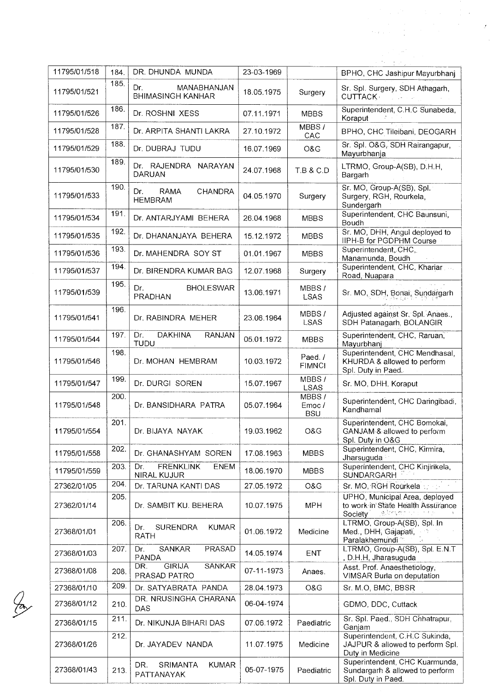| 11795/01/518 | 184. | DR. DHUNDA MUNDA                                      | 23-03-1969 |                              | BPHO, CHC Jashipur Mayurbhanj                                                              |
|--------------|------|-------------------------------------------------------|------------|------------------------------|--------------------------------------------------------------------------------------------|
| 11795/01/521 | 185. | Dr.<br>MANABHANJAN<br><b>BHIMASINGH KANHAR</b>        | 18.05.1975 | Surgery                      | Sr. Spl. Surgery, SDH Athagarh,<br><b>CUTTACK</b> Production                               |
| 11795/01/526 | 186. | Dr. ROSHNI XESS                                       | 07.11.1971 | <b>MBBS</b>                  | Superintendent, C.H.C Sunabeda,<br>Koraput                                                 |
| 11795/01/528 | 187. | Dr. ARPITA SHANTI LAKRA                               | 27.10.1972 | MBBS/<br>CAC                 | BPHO, CHC Tileibani, DEOGARH                                                               |
| 11795/01/529 | 188. | Dr. DUBRAJ TUDU                                       | 16.07.1969 | O&G                          | Sr. Spl. O&G, SDH Rairangapur,<br>Mayurbhanja                                              |
| 11795/01/530 | 189. | Dr. RAJENDRA NARAYAN<br><b>DARUAN</b>                 | 24.07.1968 | T.B & C.D                    | LTRMO, Group-A(SB), D.H.H,<br>Bargarh                                                      |
| 11795/01/533 | 190. | RAMA<br><b>CHANDRA</b><br>Dr.<br><b>HEMBRAM</b>       | 04.05.1970 | Surgery                      | Sr. MO, Group-A(SB), Spl.<br>Surgery, RGH, Rourkela,<br>Sundergarh                         |
| 11795/01/534 | 191. | Dr. ANTARJYAMI BEHERA                                 | 26.04.1968 | <b>MBBS</b>                  | Superintendent, CHC Baunsuni,<br>Boudh                                                     |
| 11795/01/535 | 192. | Dr. DHANANJAYA BEHERA                                 | 15.12.1972 | <b>MBBS</b>                  | Sr. MO, DHH, Angul deployed to<br>IIPH-B for PGDPHM Course                                 |
| 11795/01/536 | 193. | Dr. MAHENDRA SOY ST                                   | 01.01.1967 | <b>MBBS</b>                  | Superintendent, CHC,<br>Manamunda, Boudh                                                   |
| 11795/01/537 | 194. | Dr. BIRENDRA KUMAR BAG                                | 12.07.1968 | Surgery                      | Superintendent, CHC, Khariar<br>Road, Nuapara                                              |
| 11795/01/539 | 195. | Dr.<br><b>BHOLESWAR</b><br><b>PRADHAN</b>             | 13.06.1971 | MBBS/<br><b>LSAS</b>         | Sr. MO, SDH, Bonai, Sundargarh                                                             |
| 11795/01/541 | 196. | Dr. RABINDRA MEHER                                    | 23.06.1964 | MBBS/<br><b>LSAS</b>         | Adjusted against Sr. Spl. Anaes.,<br>SDH Patanagarh, BOLANGIR                              |
| 11795/01/544 | 197. | <b>DAKHINA</b><br><b>RANJAN</b><br>Dr.<br><b>TUDU</b> | 05.01.1972 | <b>MBBS</b>                  | Superintendent, CHC, Raruan,<br>Mayurbhanj                                                 |
| 11795/01/546 | 198. | Dr. MOHAN HEMBRAM                                     | 10.03.1972 | Paed./<br><b>FIMNCI</b>      | Superintendent, CHC Mendhasal,<br>KHURDA & allowed to perform<br>Spl. Duty in Paed.        |
| 11795/01/547 | 199. | Dr. DURGI SOREN                                       | 15.07.1967 | MBBS/<br><b>LSAS</b>         | Sr. MO, DHH, Koraput                                                                       |
| 11795/01/548 | 200. | Dr. BANSIDHARA PATRA                                  | 05.07.1964 | MBBS/<br>Emoc/<br><b>BSU</b> | Superintendent, CHC Daringibadi,<br>Kandhamal                                              |
| 11795/01/554 | 201. | Dr. BIJAYA NAYAK                                      | 19.03.1962 | O&G                          | Superintendent, CHC Bomokai,<br>GANJAM & allowed to perform<br>Spl. Duty in O&G            |
| 11795/01/558 | 202. | Dr. GHANASHYAM SOREN                                  | 17.08.1963 | <b>MBBS</b>                  | Superintendent, CHC, Kirmira,<br>Jharsuguda                                                |
| 11795/01/559 | 203. | <b>FRENKLINK</b><br>Dr.<br><b>ENEM</b><br>NIRAL KUJUR | 18.06.1970 | <b>MBBS</b>                  | Superintendent, CHC Kinjirikela,<br><b>SUNDARGARH</b>                                      |
| 27362/01/05  | 204. | Dr. TARUNA KANTI DAS                                  | 27.05.1972 | O&G                          | Sr. MO, RGH Rourkela                                                                       |
| 27362/01/14  | 205. | Dr. SAMBIT KU. BEHERA                                 | 10.07.1975 | <b>MPH</b>                   | UPHO, Municipal Area, deployed<br>to work in State Health Assurance<br>le invon<br>Society |
| 27368/01/01  | 206. | <b>KUMAR</b><br><b>SURENDRA</b><br>Dr.<br>RATH        | 01.06.1972 | Medicine                     | LTRMO, Group-A(SB), Spl. In<br>Med., DHH, Gajapati,<br>Paralakhemundi <sup>**</sup>        |
| 27368/01/03  | 207. | Dr.<br>SANKAR<br>PRASAD<br>PANDA                      | 14.05.1974 | ENT                          | LTRMO, Group-A(SB), Spl. E.N.T<br>, D.H.H, Jharasuguda                                     |
| 27368/01/08  | 208. | <b>GIRIJA</b><br><b>SANKAR</b><br>DR.<br>PRASAD PATRO | 07-11-1973 | Anaes.                       | Asst. Prof. Anaesthetiology,<br>VIMSAR Burla on deputation                                 |
| 27368/01/10  | 209  | Dr. SATYABRATA PANDA                                  | 28.04.1973 | O&G                          | Sr. M.O. BMC, BBSR                                                                         |
| 27368/01/12  | 210. | DR. NRUSINGHA CHARANA<br><b>DAS</b>                   | 06-04-1974 |                              | GDMO, DDC, Cuttack                                                                         |
| 27368/01/15  | 211. | Dr. NIKUNJA BIHARI DAS                                | 07.06.1972 | Paediatric                   | Sr. Spl. Paed., SDH Chhatrapur,<br>Ganjam                                                  |
| 27368/01/26  | 212. | Dr. JAYADEV NANDA                                     | 11.07.1975 | Medicine                     | Superintendent, C.H.C Sukinda,<br>JAJPUR & allowed to perform Spl.<br>Duty in Medicine     |
| 27368/01/43  | 213. | <b>KUMAR</b><br>DR.<br><b>SRIMANTA</b><br>PATTANAYAK  | 05-07-1975 | Paediatric                   | Superintendent, CHC Kuarmunda,<br>Sundargarh & allowed to perform<br>Sol. Duty in Paed     |

 $\frac{1}{\sqrt{2}}\sum_{i=1}^{n} \frac{1}{\sqrt{2}}\left(\frac{1}{\sqrt{2}}\right)^2\left(\frac{1}{\sqrt{2}}\right)^2.$ 

 $\frac{\sqrt{2}}{2}$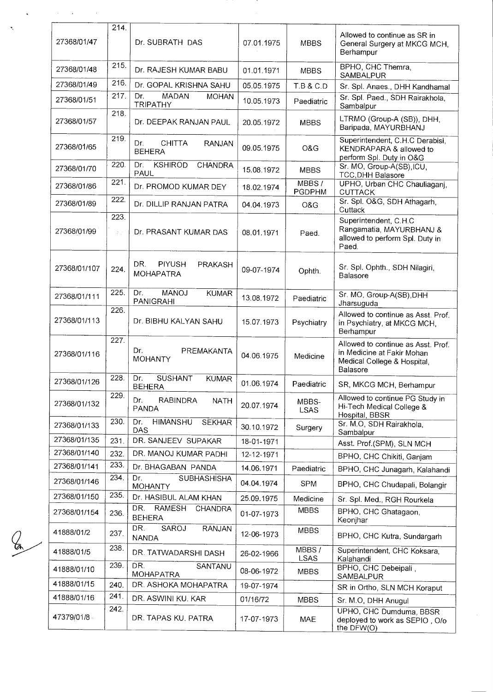| 27368/01/47  | 214.        | Dr. SUBRATH DAS                                        | 07.01.1975 | <b>MBBS</b>            | Allowed to continue as SR in<br>General Surgery at MKCG MCH,<br>Berhampur                                          |
|--------------|-------------|--------------------------------------------------------|------------|------------------------|--------------------------------------------------------------------------------------------------------------------|
| 27368/01/48  | 215.        | Dr. RAJESH KUMAR BABU                                  | 01.01.1971 | <b>MBBS</b>            | BPHO, CHC Themra,<br>SAMBALPUR                                                                                     |
| 27368/01/49  | 216.        | Dr. GOPAL KRISHNA SAHU                                 | 05.05.1975 | <b>T.B &amp; C.D.</b>  | Sr. Spl. Anaes., DHH Kandhamal                                                                                     |
| 27368/01/51  | 217.        | <b>MADAN</b><br>Dr.<br><b>MOHAN</b><br><b>TRIPATHY</b> | 10.05.1973 | Paediatric             | Sr. Spl. Paed., SDH Rairakhola,<br>Sambalpur                                                                       |
| 27368/01/57  | 218.        | Dr. DEEPAK RANJAN PAUL                                 | 20.05.1972 | <b>MBBS</b>            | LTRMO (Group-A (SB)), DHH,<br>Baripada, MAYURBHANJ                                                                 |
| 27368/01/65  | 219.        | <b>CHITTA</b><br>RANJAN<br>Dr.<br><b>BEHERA</b>        | 09.05.1975 | O&G                    | Superintendent, C.H.C Derabisi,<br>KENDRAPARA & allowed to<br>perform Spl. Duty in O&G                             |
| 27368/01/70  | 220.        | <b>KSHIROD</b><br>CHANDRA<br>Dr.<br>PAUL               | 15.08.1972 | <b>MBBS</b>            | Sr. MO, Group-A(SB), ICU,<br><b>TCC, DHH Balasore</b>                                                              |
| 27368/01/86  | 221.        | Dr. PROMOD KUMAR DEY                                   | 18.02.1974 | MBBS/<br><b>PGDPHM</b> | UPHO, Urban CHC Chauliaganj,<br><b>CUTTACK</b>                                                                     |
| 27368/01/89  | 222.        | Dr. DILLIP RANJAN PATRA                                | 04.04.1973 | O&G                    | Sr. Spl. O&G, SDH Athagarh,<br>Cuttack                                                                             |
| 27368/01/99  | 223.<br>Σÿ. | Dr. PRASANT KUMAR DAS                                  | 08.01.1971 | Paed.                  | Superintendent, C.H.C<br>Rangamatia, MAYURBHANJ &<br>allowed to perform Spl. Duty in<br>Paed.                      |
| 27368/01/107 | 224.        | DR.<br><b>PIYUSH</b><br>PRAKASH<br><b>MOHAPATRA</b>    | 09-07-1974 | Ophth.                 | Sr. Spl. Ophth., SDH Nilagiri,<br>Balasore                                                                         |
| 27368/01/111 | 225.        | <b>MANOJ</b><br>Dr.<br><b>KUMAR</b><br>PANIGRAHI       | 13.08.1972 | Paediatric             | Sr. MO, Group-A(SB), DHH<br>Jharsuguda                                                                             |
| 27368/01/113 | 226.        | Dr. BIBHU KALYAN SAHU                                  | 15.07.1973 | Psychiatry             | Allowed to continue as Asst. Prof.<br>in Psychiatry, at MKCG MCH,<br>Berhampur                                     |
| 27368/01/116 | 227.        | Dr.<br>PREMAKANTA<br><b>MOHANTY</b>                    | 04.06.1975 | Medicine               | Allowed to continue as Asst. Prof.<br>in Medicine at Fakir Mohan<br>Medical College & Hospital,<br><b>Balasore</b> |
| 27368/01/126 | 228.        | Dr.<br>SUSHANT<br><b>KUMAR</b><br><b>BEHERA</b>        | 01.06.1974 | Paediatric             | SR, MKCG MCH, Berhampur                                                                                            |
| 27368/01/132 | 229.        | Dr.<br>RABINDRA<br><b>NATH</b><br>PANDA                | 20.07.1974 | MBBS-<br><b>LSAS</b>   | Allowed to continue PG Study in<br>Hi-Tech Medical College &<br>Hospital, BBSR                                     |
| 27368/01/133 | 230.        | Dr.<br><b>HIMANSHU</b><br><b>SEKHAR</b><br><b>DAS</b>  | 30.10.1972 | Surgery                | Sr. M.O, SDH Rairakhola,<br>Sambalpur                                                                              |
| 27368/01/135 | 231.        | DR. SANJEEV SUPAKAR                                    | 18-01-1971 |                        | Asst. Prof.(SPM), SLN MCH                                                                                          |
| 27368/01/140 | 232.        | DR. MANOJ KUMAR PADHI                                  | 12-12-1971 |                        | BPHO, CHC Chikiti, Ganjam                                                                                          |
| 27368/01/141 | 233.        | Dr. BHAGABAN PANDA                                     | 14.06.1971 | Paediatric             | BPHO, CHC Junagarh, Kalahandi                                                                                      |
| 27368/01/146 | 234.        | Dr.<br><b>SUBHASHISHA</b><br><b>MOHANTY</b>            | 04.04.1974 | <b>SPM</b>             | BPHO, CHC Chudapali, Bolangir                                                                                      |
| 27368/01/150 | 235.        | Dr. HASIBUL ALAM KHAN                                  | 25.09.1975 | Medicine               | Sr. Spl. Med., RGH Rourkela                                                                                        |
| 27368/01/154 | 236.        | DR.<br>RAMESH<br>CHANDRA<br><b>BEHERA</b>              | 01-07-1973 | <b>MBBS</b>            | BPHO, CHC Ghatagaon,<br>Keonjhar                                                                                   |
| 41888/01/2   | 237.        | DR.<br>SAROJ<br><b>RANJAN</b><br><b>NANDA</b>          | 12-06-1973 | <b>MBBS</b>            | BPHO, CHC Kutra, Sundargarh                                                                                        |
| 41888/01/5   | 238.        | DR. TATWADARSHI DASH                                   | 26-02-1966 | MBBS/<br><b>LSAS</b>   | Superintendent, CHC Koksara,<br>Kalahandi                                                                          |
| 41888/01/10  | 239.        | DR.<br>SANTANU<br><b>MOHAPATRA</b>                     | 08-06-1972 | <b>MBBS</b>            | BPHO, CHC Debeipali<br>SAMBALPUR                                                                                   |
| 41888/01/15  | 240.        | DR. ASHOKA MOHAPATRA                                   | 19-07-1974 |                        | SR in Ortho, SLN MCH Koraput                                                                                       |
| 41888/01/16  | 241.        | DR. ASWINI KU. KAR                                     | 01/16/72   | <b>MBBS</b>            | Sr. M.O, DHH Anugul                                                                                                |
| 47379/01/8   | 242.        | DR. TAPAS KU. PATRA                                    | 17-07-1973 | <b>MAE</b>             | UPHO, CHC Dumduma, BBSR<br>deployed to work as SEPIO, O/o<br>the DFW(O)                                            |

 $\mathscr{L}$ 

 $\ddot{\phantom{0}}$